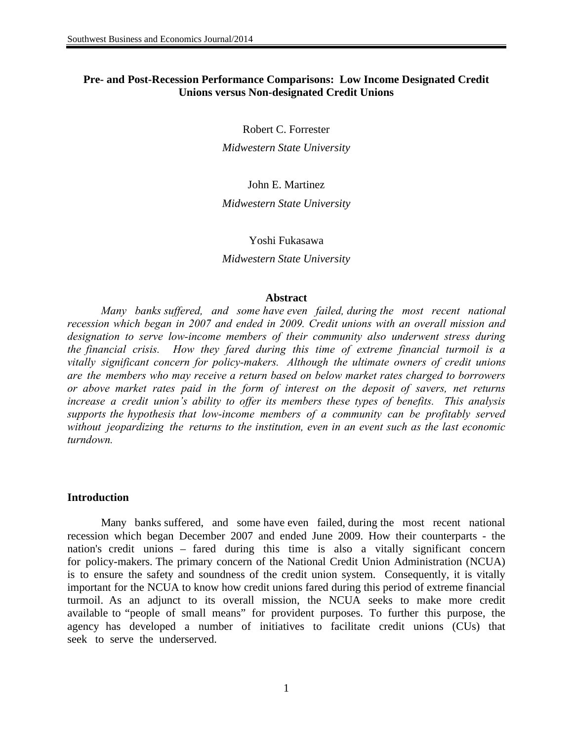# **Pre- and Post-Recession Performance Comparisons: Low Income Designated Credit Unions versus Non-designated Credit Unions**

Robert C. Forrester

*Midwestern State University*

John E. Martinez *Midwestern State University* 

Yoshi Fukasawa *Midwestern State University*

#### **Abstract**

*Many banks suffered, and some have even failed, during the most recent national recession which began in 2007 and ended in 2009. Credit unions with an overall mission and designation to serve low-income members of their community also underwent stress during the financial crisis. How they fared during this time of extreme financial turmoil is a vitally significant concern for policy-makers. Although the ultimate owners of credit unions are the members who may receive a return based on below market rates charged to borrowers or above market rates paid in the form of interest on the deposit of savers, net returns increase a credit union's ability to offer its members these types of benefits. This analysis supports the hypothesis that low-income members of a community can be profitably served without jeopardizing the returns to the institution, even in an event such as the last economic turndown.* 

#### **Introduction**

Many banks suffered, and some have even failed, during the most recent national recession which began December 2007 and ended June 2009. How their counterparts - the nation's credit unions – fared during this time is also a vitally significant concern for policy-makers. The primary concern of the National Credit Union Administration (NCUA) is to ensure the safety and soundness of the credit union system. Consequently, it is vitally important for the NCUA to know how credit unions fared during this period of extreme financial turmoil. As an adjunct to its overall mission, the NCUA seeks to make more credit available to "people of small means" for provident purposes. To further this purpose, the agency has developed a number of initiatives to facilitate credit unions (CUs) that seek to serve the underserved.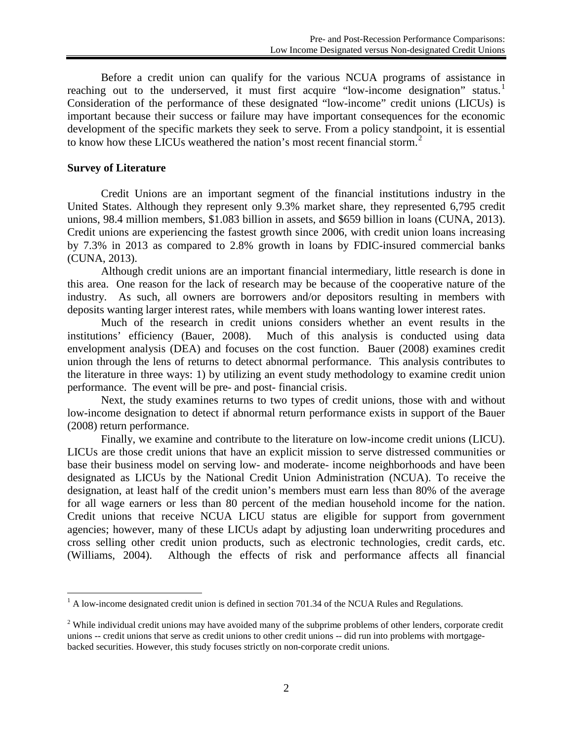Before a credit union can qualify for the various NCUA programs of assistance in reaching out to the underserved, it must first acquire "low-income designation" status.<sup>[1](#page-1-0)</sup> Consideration of the performance of these designated "low-income" credit unions (LICUs) is important because their success or failure may have important consequences for the economic development of the specific markets they seek to serve. From a policy standpoint, it is essential to know how these LICUs weathered the nation's most recent financial storm.<sup>[2](#page-1-1)</sup>

# **Survey of Literature**

Credit Unions are an important segment of the financial institutions industry in the United States. Although they represent only 9.3% market share, they represented 6,795 credit unions, 98.4 million members, \$1.083 billion in assets, and \$659 billion in loans (CUNA, 2013). Credit unions are experiencing the fastest growth since 2006, with credit union loans increasing by 7.3% in 2013 as compared to 2.8% growth in loans by FDIC-insured commercial banks (CUNA, 2013).

Although credit unions are an important financial intermediary, little research is done in this area. One reason for the lack of research may be because of the cooperative nature of the industry. As such, all owners are borrowers and/or depositors resulting in members with deposits wanting larger interest rates, while members with loans wanting lower interest rates.

Much of the research in credit unions considers whether an event results in the institutions' efficiency (Bauer, 2008). Much of this analysis is conducted using data Much of this analysis is conducted using data envelopment analysis (DEA) and focuses on the cost function. Bauer (2008) examines credit union through the lens of returns to detect abnormal performance. This analysis contributes to the literature in three ways: 1) by utilizing an event study methodology to examine credit union performance. The event will be pre- and post- financial crisis.

Next, the study examines returns to two types of credit unions, those with and without low-income designation to detect if abnormal return performance exists in support of the Bauer (2008) return performance.

Finally, we examine and contribute to the literature on low-income credit unions (LICU). LICUs are those credit unions that have an explicit mission to serve distressed communities or base their business model on serving low- and moderate- income neighborhoods and have been designated as LICUs by the National Credit Union Administration (NCUA). To receive the designation, at least half of the credit union's members must earn less than 80% of the average for all wage earners or less than 80 percent of the median household income for the nation. Credit unions that receive NCUA LICU status are eligible for support from government agencies; however, many of these LICUs adapt by adjusting loan underwriting procedures and cross selling other credit union products, such as electronic technologies, credit cards, etc. (Williams, 2004). Although the effects of risk and performance affects all financial

<span id="page-1-0"></span> $<sup>1</sup>$  A low-income designated credit union is defined in section 701.34 of the NCUA Rules and Regulations.</sup>

<span id="page-1-1"></span><sup>&</sup>lt;sup>2</sup> While individual credit unions may have avoided many of the subprime problems of other lenders, corporate credit unions -- credit unions that serve as credit unions to other credit unions -- did run into problems with mortgagebacked securities. However, this study focuses strictly on non-corporate credit unions.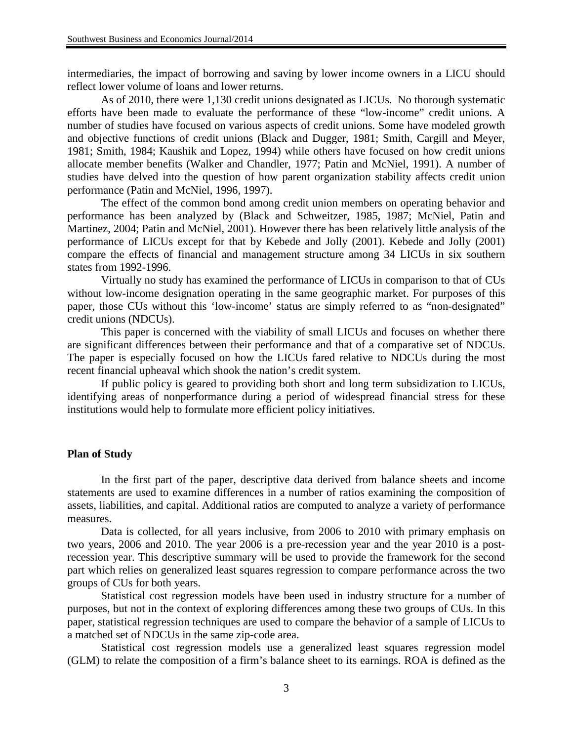intermediaries, the impact of borrowing and saving by lower income owners in a LICU should reflect lower volume of loans and lower returns.

As of 2010, there were 1,130 credit unions designated as LICUs. No thorough systematic efforts have been made to evaluate the performance of these "low-income" credit unions. A number of studies have focused on various aspects of credit unions. Some have modeled growth and objective functions of credit unions (Black and Dugger, 1981; Smith, Cargill and Meyer, 1981; Smith, 1984; Kaushik and Lopez, 1994) while others have focused on how credit unions allocate member benefits (Walker and Chandler, 1977; Patin and McNiel, 1991). A number of studies have delved into the question of how parent organization stability affects credit union performance (Patin and McNiel, 1996, 1997).

The effect of the common bond among credit union members on operating behavior and performance has been analyzed by (Black and Schweitzer, 1985, 1987; McNiel, Patin and Martinez, 2004; Patin and McNiel, 2001). However there has been relatively little analysis of the performance of LICUs except for that by Kebede and Jolly (2001). Kebede and Jolly (2001) compare the effects of financial and management structure among 34 LICUs in six southern states from 1992-1996.

Virtually no study has examined the performance of LICUs in comparison to that of CUs without low-income designation operating in the same geographic market. For purposes of this paper, those CUs without this 'low-income' status are simply referred to as "non-designated" credit unions (NDCUs).

This paper is concerned with the viability of small LICUs and focuses on whether there are significant differences between their performance and that of a comparative set of NDCUs. The paper is especially focused on how the LICUs fared relative to NDCUs during the most recent financial upheaval which shook the nation's credit system.

If public policy is geared to providing both short and long term subsidization to LICUs, identifying areas of nonperformance during a period of widespread financial stress for these institutions would help to formulate more efficient policy initiatives.

# **Plan of Study**

In the first part of the paper, descriptive data derived from balance sheets and income statements are used to examine differences in a number of ratios examining the composition of assets, liabilities, and capital. Additional ratios are computed to analyze a variety of performance measures.

Data is collected, for all years inclusive, from 2006 to 2010 with primary emphasis on two years, 2006 and 2010. The year 2006 is a pre-recession year and the year 2010 is a postrecession year. This descriptive summary will be used to provide the framework for the second part which relies on generalized least squares regression to compare performance across the two groups of CUs for both years.

Statistical cost regression models have been used in industry structure for a number of purposes, but not in the context of exploring differences among these two groups of CUs. In this paper, statistical regression techniques are used to compare the behavior of a sample of LICUs to a matched set of NDCUs in the same zip-code area.

Statistical cost regression models use a generalized least squares regression model (GLM) to relate the composition of a firm's balance sheet to its earnings. ROA is defined as the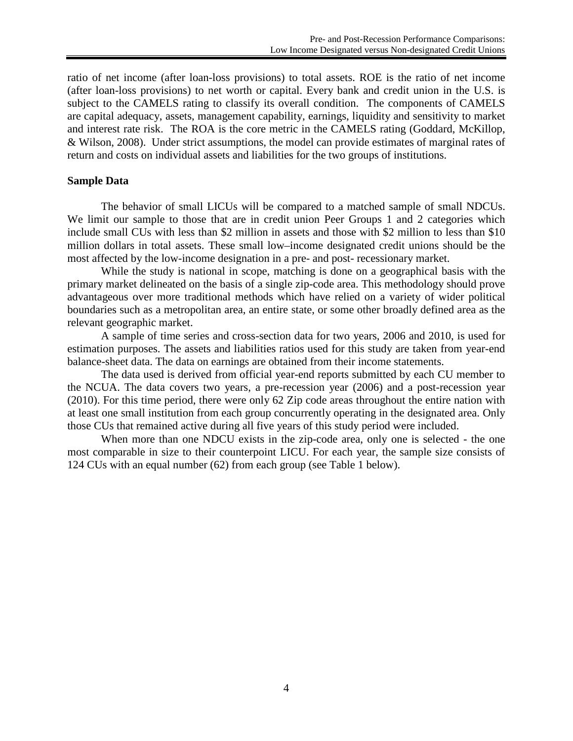ratio of net income (after loan-loss provisions) to total assets. ROE is the ratio of net income (after loan-loss provisions) to net worth or capital. Every bank and credit union in the U.S. is subject to the CAMELS rating to classify its overall condition. The components of CAMELS are capital adequacy, assets, management capability, earnings, liquidity and sensitivity to market and interest rate risk. The ROA is the core metric in the CAMELS rating (Goddard, McKillop, & Wilson, 2008). Under strict assumptions, the model can provide estimates of marginal rates of return and costs on individual assets and liabilities for the two groups of institutions.

## **Sample Data**

The behavior of small LICUs will be compared to a matched sample of small NDCUs. We limit our sample to those that are in credit union Peer Groups 1 and 2 categories which include small CUs with less than \$2 million in assets and those with \$2 million to less than \$10 million dollars in total assets. These small low–income designated credit unions should be the most affected by the low-income designation in a pre- and post- recessionary market.

While the study is national in scope, matching is done on a geographical basis with the primary market delineated on the basis of a single zip-code area. This methodology should prove advantageous over more traditional methods which have relied on a variety of wider political boundaries such as a metropolitan area, an entire state, or some other broadly defined area as the relevant geographic market.

A sample of time series and cross-section data for two years, 2006 and 2010, is used for estimation purposes. The assets and liabilities ratios used for this study are taken from year-end balance-sheet data. The data on earnings are obtained from their income statements.

The data used is derived from official year-end reports submitted by each CU member to the NCUA. The data covers two years, a pre-recession year (2006) and a post-recession year (2010). For this time period, there were only 62 Zip code areas throughout the entire nation with at least one small institution from each group concurrently operating in the designated area. Only those CUs that remained active during all five years of this study period were included.

When more than one NDCU exists in the zip-code area, only one is selected - the one most comparable in size to their counterpoint LICU. For each year, the sample size consists of 124 CUs with an equal number (62) from each group (see Table 1 below).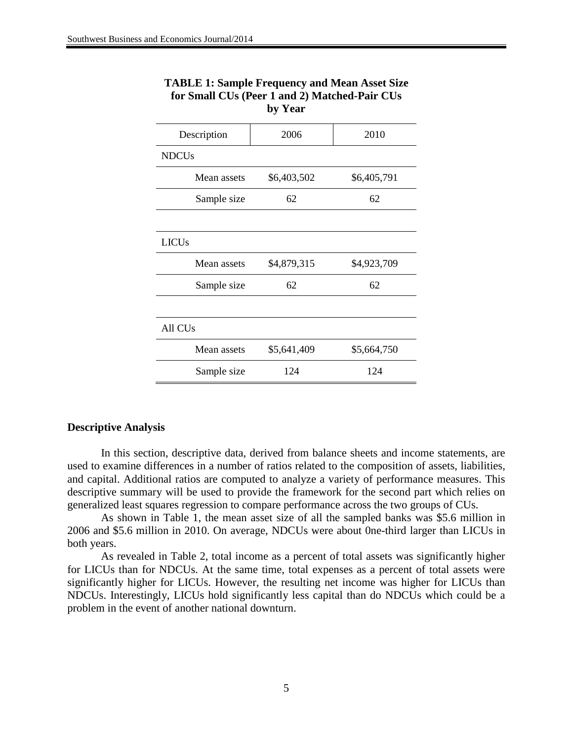| Description         | 2006        | 2010        |  |  |  |  |
|---------------------|-------------|-------------|--|--|--|--|
| <b>NDCUs</b>        |             |             |  |  |  |  |
| Mean assets         | \$6,403,502 | \$6,405,791 |  |  |  |  |
| Sample size         | 62          | 62          |  |  |  |  |
|                     |             |             |  |  |  |  |
| <b>LICUs</b>        |             |             |  |  |  |  |
| Mean assets         | \$4,879,315 | \$4,923,709 |  |  |  |  |
| Sample size         | 62          | 62          |  |  |  |  |
|                     |             |             |  |  |  |  |
| All CU <sub>s</sub> |             |             |  |  |  |  |
| Mean assets         | \$5,641,409 | \$5,664,750 |  |  |  |  |
| Sample size         | 124         | 124         |  |  |  |  |

# **TABLE 1: Sample Frequency and Mean Asset Size for Small CUs (Peer 1 and 2) Matched-Pair CUs by Year**

## **Descriptive Analysis**

In this section, descriptive data, derived from balance sheets and income statements, are used to examine differences in a number of ratios related to the composition of assets, liabilities, and capital. Additional ratios are computed to analyze a variety of performance measures. This descriptive summary will be used to provide the framework for the second part which relies on generalized least squares regression to compare performance across the two groups of CUs.

As shown in Table 1, the mean asset size of all the sampled banks was \$5.6 million in 2006 and \$5.6 million in 2010. On average, NDCUs were about 0ne-third larger than LICUs in both years.

As revealed in Table 2, total income as a percent of total assets was significantly higher for LICUs than for NDCUs. At the same time, total expenses as a percent of total assets were significantly higher for LICUs. However, the resulting net income was higher for LICUs than NDCUs. Interestingly, LICUs hold significantly less capital than do NDCUs which could be a problem in the event of another national downturn.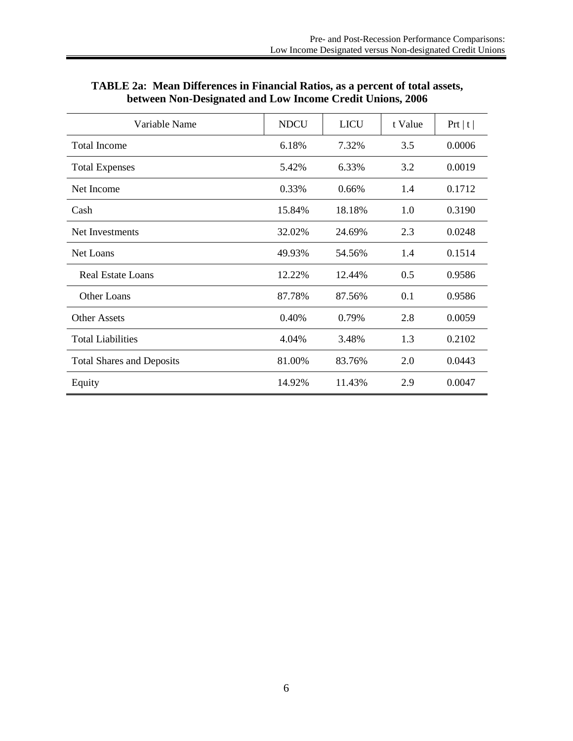| Variable Name                    | <b>NDCU</b> | <b>LICU</b> | t Value | Prt   t |
|----------------------------------|-------------|-------------|---------|---------|
| <b>Total Income</b>              | 6.18%       | 7.32%       | 3.5     | 0.0006  |
| <b>Total Expenses</b>            | 5.42%       | 6.33%       | 3.2     | 0.0019  |
| Net Income                       | 0.33%       | 0.66%       | 1.4     | 0.1712  |
| Cash                             | 15.84%      | 18.18%      | 1.0     | 0.3190  |
| Net Investments                  | 32.02%      | 24.69%      | 2.3     | 0.0248  |
| Net Loans                        | 49.93%      | 54.56%      | 1.4     | 0.1514  |
| <b>Real Estate Loans</b>         | 12.22%      | 12.44%      | 0.5     | 0.9586  |
| Other Loans                      | 87.78%      | 87.56%      | 0.1     | 0.9586  |
| <b>Other Assets</b>              | 0.40%       | 0.79%       | 2.8     | 0.0059  |
| <b>Total Liabilities</b>         | 4.04%       | 3.48%       | 1.3     | 0.2102  |
| <b>Total Shares and Deposits</b> | 81.00%      | 83.76%      | 2.0     | 0.0443  |
| Equity                           | 14.92%      | 11.43%      | 2.9     | 0.0047  |

# **TABLE 2a: Mean Differences in Financial Ratios, as a percent of total assets, between Non-Designated and Low Income Credit Unions, 2006**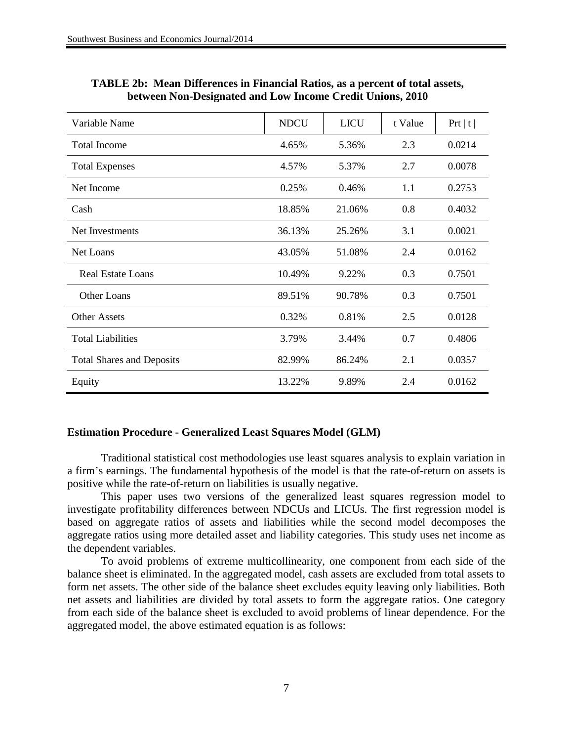| Variable Name                    | <b>NDCU</b> | <b>LICU</b> | t Value | Prt   t |
|----------------------------------|-------------|-------------|---------|---------|
| <b>Total Income</b>              | 4.65%       | 5.36%       | 2.3     | 0.0214  |
| <b>Total Expenses</b>            | 4.57%       | 5.37%       | 2.7     | 0.0078  |
| Net Income                       | 0.25%       | 0.46%       | 1.1     | 0.2753  |
| Cash                             | 18.85%      | 21.06%      | 0.8     | 0.4032  |
| Net Investments                  | 36.13%      | 25.26%      | 3.1     | 0.0021  |
| <b>Net Loans</b>                 | 43.05%      | 51.08%      | 2.4     | 0.0162  |
| <b>Real Estate Loans</b>         | 10.49%      | 9.22%       | 0.3     | 0.7501  |
| Other Loans                      | 89.51%      | 90.78%      | 0.3     | 0.7501  |
| <b>Other Assets</b>              | 0.32%       | 0.81%       | 2.5     | 0.0128  |
| <b>Total Liabilities</b>         | 3.79%       | 3.44%       | 0.7     | 0.4806  |
| <b>Total Shares and Deposits</b> | 82.99%      | 86.24%      | 2.1     | 0.0357  |
| Equity                           | 13.22%      | 9.89%       | 2.4     | 0.0162  |

# **TABLE 2b: Mean Differences in Financial Ratios, as a percent of total assets, between Non-Designated and Low Income Credit Unions, 2010**

# **Estimation Procedure - Generalized Least Squares Model (GLM)**

Traditional statistical cost methodologies use least squares analysis to explain variation in a firm's earnings. The fundamental hypothesis of the model is that the rate-of-return on assets is positive while the rate-of-return on liabilities is usually negative.

This paper uses two versions of the generalized least squares regression model to investigate profitability differences between NDCUs and LICUs. The first regression model is based on aggregate ratios of assets and liabilities while the second model decomposes the aggregate ratios using more detailed asset and liability categories. This study uses net income as the dependent variables.

To avoid problems of extreme multicollinearity, one component from each side of the balance sheet is eliminated. In the aggregated model, cash assets are excluded from total assets to form net assets. The other side of the balance sheet excludes equity leaving only liabilities. Both net assets and liabilities are divided by total assets to form the aggregate ratios. One category from each side of the balance sheet is excluded to avoid problems of linear dependence. For the aggregated model, the above estimated equation is as follows: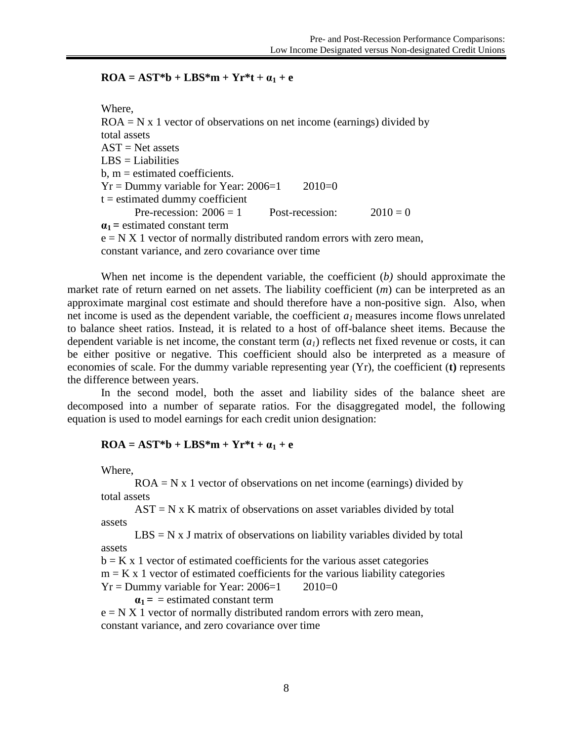# $\mathbf{ROA} = \mathbf{AST}^* \mathbf{b} + \mathbf{LBS}^* \mathbf{m} + \mathbf{Y} \mathbf{r}^* \mathbf{t} + \alpha_1 + \mathbf{e}$

Where,

 $ROA = N x 1$  vector of observations on net income (earnings) divided by total assets  $AST = Net$  assets  $LBS = Liabilities$  $b, m =$  estimated coefficients.  $Yr =$  Dummy variable for Year: 2006=1 2010=0  $t =$  estimated dummy coefficient Pre-recession:  $2006 = 1$  Post-recession:  $2010 = 0$  $a_1$  = estimated constant term  $e = N X 1$  vector of normally distributed random errors with zero mean, constant variance, and zero covariance over time

When net income is the dependent variable, the coefficient (*b)* should approximate the market rate of return earned on net assets. The liability coefficient (*m*) can be interpreted as an approximate marginal cost estimate and should therefore have a non-positive sign. Also, when net income is used as the dependent variable, the coefficient  $a_1$  measures income flows unrelated to balance sheet ratios. Instead, it is related to a host of off-balance sheet items. Because the dependent variable is net income, the constant term  $(a<sub>1</sub>)$  reflects net fixed revenue or costs, it can be either positive or negative. This coefficient should also be interpreted as a measure of economies of scale. For the dummy variable representing year (Yr), the coefficient (**t)** represents the difference between years.

In the second model, both the asset and liability sides of the balance sheet are decomposed into a number of separate ratios. For the disaggregated model, the following equation is used to model earnings for each credit union designation:

## $\text{ROA} = \text{AST}^* \text{b} + \text{LBS}^* \text{m} + \text{Yr}^* \text{t} + \alpha_1 + \text{e}$

Where,

 $ROA = N x 1$  vector of observations on net income (earnings) divided by total assets

 $AST = N \times K$  matrix of observations on asset variables divided by total assets

 $LBS = N x J$  matrix of observations on liability variables divided by total assets

 $b = K x 1$  vector of estimated coefficients for the various asset categories

 $m = K x 1$  vector of estimated coefficients for the various liability categories

 $Yr =$  Dummy variable for Year: 2006=1 2010=0

 $a_1$  = = estimated constant term

 $e = N X 1$  vector of normally distributed random errors with zero mean, constant variance, and zero covariance over time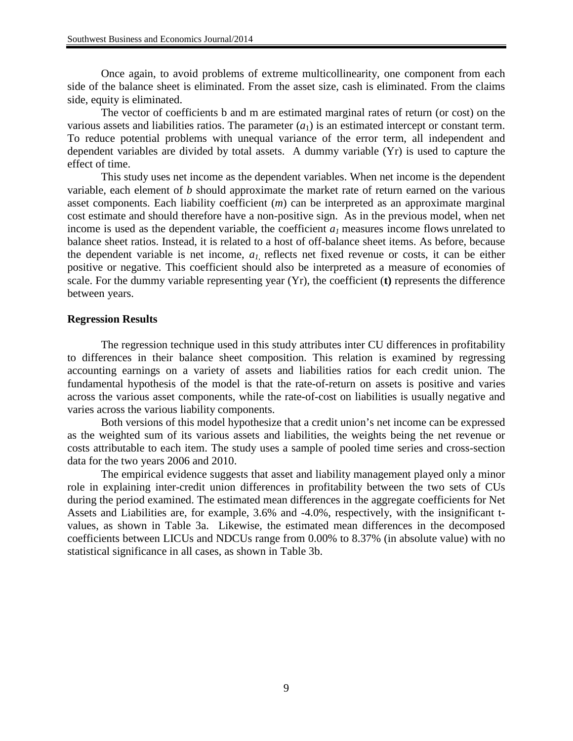Once again, to avoid problems of extreme multicollinearity, one component from each side of the balance sheet is eliminated. From the asset size, cash is eliminated. From the claims side, equity is eliminated.

The vector of coefficients b and m are estimated marginal rates of return (or cost) on the various assets and liabilities ratios. The parameter  $(a_1)$  is an estimated intercept or constant term. To reduce potential problems with unequal variance of the error term, all independent and dependent variables are divided by total assets. A dummy variable (Yr) is used to capture the effect of time.

This study uses net income as the dependent variables. When net income is the dependent variable, each element of *b* should approximate the market rate of return earned on the various asset components. Each liability coefficient (*m*) can be interpreted as an approximate marginal cost estimate and should therefore have a non-positive sign. As in the previous model, when net income is used as the dependent variable, the coefficient  $a_1$  measures income flows unrelated to balance sheet ratios. Instead, it is related to a host of off-balance sheet items. As before, because the dependent variable is net income,  $a_l$  reflects net fixed revenue or costs, it can be either positive or negative. This coefficient should also be interpreted as a measure of economies of scale. For the dummy variable representing year (Yr), the coefficient (**t)** represents the difference between years.

#### **Regression Results**

The regression technique used in this study attributes inter CU differences in profitability to differences in their balance sheet composition. This relation is examined by regressing accounting earnings on a variety of assets and liabilities ratios for each credit union. The fundamental hypothesis of the model is that the rate-of-return on assets is positive and varies across the various asset components, while the rate-of-cost on liabilities is usually negative and varies across the various liability components.

Both versions of this model hypothesize that a credit union's net income can be expressed as the weighted sum of its various assets and liabilities, the weights being the net revenue or costs attributable to each item. The study uses a sample of pooled time series and cross-section data for the two years 2006 and 2010.

The empirical evidence suggests that asset and liability management played only a minor role in explaining inter-credit union differences in profitability between the two sets of CUs during the period examined. The estimated mean differences in the aggregate coefficients for Net Assets and Liabilities are, for example, 3.6% and -4.0%, respectively, with the insignificant tvalues, as shown in Table 3a. Likewise, the estimated mean differences in the decomposed coefficients between LICUs and NDCUs range from 0.00% to 8.37% (in absolute value) with no statistical significance in all cases, as shown in Table 3b.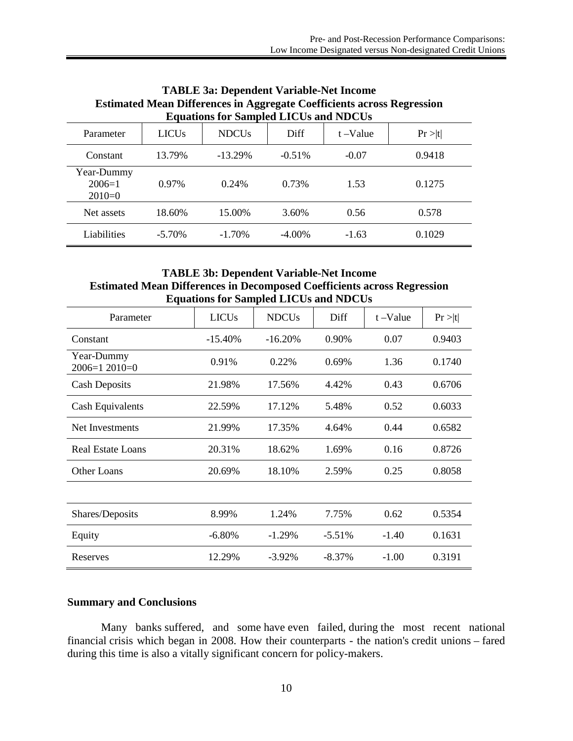| esumated inteal Differences in Aggregate Coemetents across Regression<br><b>Equations for Sampled LICUs and NDCUs</b> |              |              |           |             |         |
|-----------------------------------------------------------------------------------------------------------------------|--------------|--------------|-----------|-------------|---------|
| Parameter                                                                                                             | <b>LICUs</b> | <b>NDCUs</b> | Diff      | $t - Value$ | Pr >  t |
| Constant                                                                                                              | 13.79%       | $-13.29\%$   | $-0.51%$  | $-0.07$     | 0.9418  |
| Year-Dummy<br>$2006=1$<br>$2010=0$                                                                                    | 0.97%        | 0.24%        | 0.73%     | 1.53        | 0.1275  |
| Net assets                                                                                                            | 18.60%       | 15.00%       | 3.60%     | 0.56        | 0.578   |
| Liabilities                                                                                                           | $-5.70\%$    | $-1.70\%$    | $-4.00\%$ | $-1.63$     | 0.1029  |

# **TABLE 3a: Dependent Variable-Net Income Estimated Mean Differences in Aggregate Coefficients across Regression**

# **TABLE 3b: Dependent Variable-Net Income Estimated Mean Differences in Decomposed Coefficients across Regression Equations for Sampled LICUs and NDCUs**

| Parameter                    | <b>LICUs</b> | <b>NDCUs</b> | Diff     | $t - Value$ | Pr >  t |
|------------------------------|--------------|--------------|----------|-------------|---------|
| Constant                     | $-15.40%$    | $-16.20%$    | 0.90%    | 0.07        | 0.9403  |
| Year-Dummy<br>$2006=12010=0$ | 0.91%        | 0.22%        | 0.69%    | 1.36        | 0.1740  |
| <b>Cash Deposits</b>         | 21.98%       | 17.56%       | 4.42%    | 0.43        | 0.6706  |
| Cash Equivalents             | 22.59%       | 17.12%       | 5.48%    | 0.52        | 0.6033  |
| Net Investments              | 21.99%       | 17.35%       | 4.64%    | 0.44        | 0.6582  |
| Real Estate Loans            | 20.31%       | 18.62%       | 1.69%    | 0.16        | 0.8726  |
| <b>Other Loans</b>           | 20.69%       | 18.10%       | 2.59%    | 0.25        | 0.8058  |
|                              |              |              |          |             |         |
| Shares/Deposits              | 8.99%        | 1.24%        | 7.75%    | 0.62        | 0.5354  |
| Equity                       | $-6.80%$     | $-1.29%$     | $-5.51%$ | $-1.40$     | 0.1631  |
| Reserves                     | 12.29%       | $-3.92%$     | $-8.37%$ | $-1.00$     | 0.3191  |

# **Summary and Conclusions**

Many banks suffered, and some have even failed, during the most recent national financial crisis which began in 2008. How their counterparts - the nation's credit unions – fared during this time is also a vitally significant concern for policy-makers.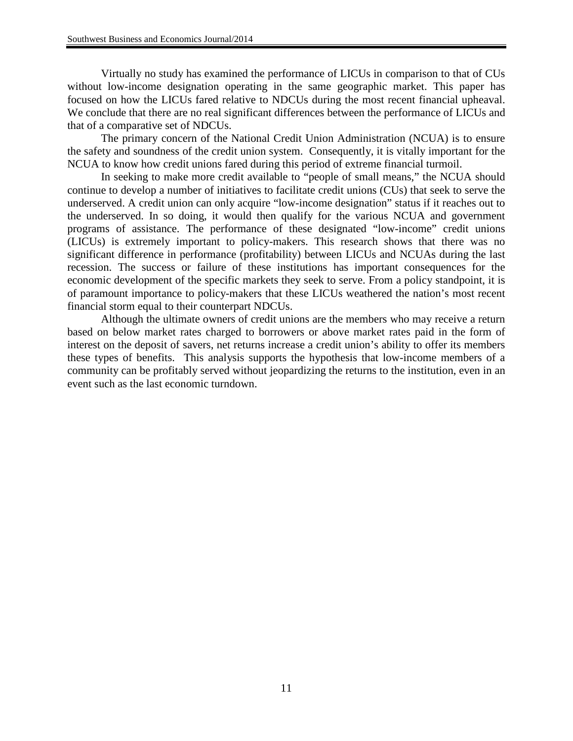Virtually no study has examined the performance of LICUs in comparison to that of CUs without low-income designation operating in the same geographic market. This paper has focused on how the LICUs fared relative to NDCUs during the most recent financial upheaval. We conclude that there are no real significant differences between the performance of LICUs and that of a comparative set of NDCUs.

The primary concern of the National Credit Union Administration (NCUA) is to ensure the safety and soundness of the credit union system. Consequently, it is vitally important for the NCUA to know how credit unions fared during this period of extreme financial turmoil.

In seeking to make more credit available to "people of small means," the NCUA should continue to develop a number of initiatives to facilitate credit unions (CUs) that seek to serve the underserved. A credit union can only acquire "low-income designation" status if it reaches out to the underserved. In so doing, it would then qualify for the various NCUA and government programs of assistance. The performance of these designated "low-income" credit unions (LICUs) is extremely important to policy-makers. This research shows that there was no significant difference in performance (profitability) between LICUs and NCUAs during the last recession. The success or failure of these institutions has important consequences for the economic development of the specific markets they seek to serve. From a policy standpoint, it is of paramount importance to policy-makers that these LICUs weathered the nation's most recent financial storm equal to their counterpart NDCUs.

Although the ultimate owners of credit unions are the members who may receive a return based on below market rates charged to borrowers or above market rates paid in the form of interest on the deposit of savers, net returns increase a credit union's ability to offer its members these types of benefits. This analysis supports the hypothesis that low-income members of a community can be profitably served without jeopardizing the returns to the institution, even in an event such as the last economic turndown.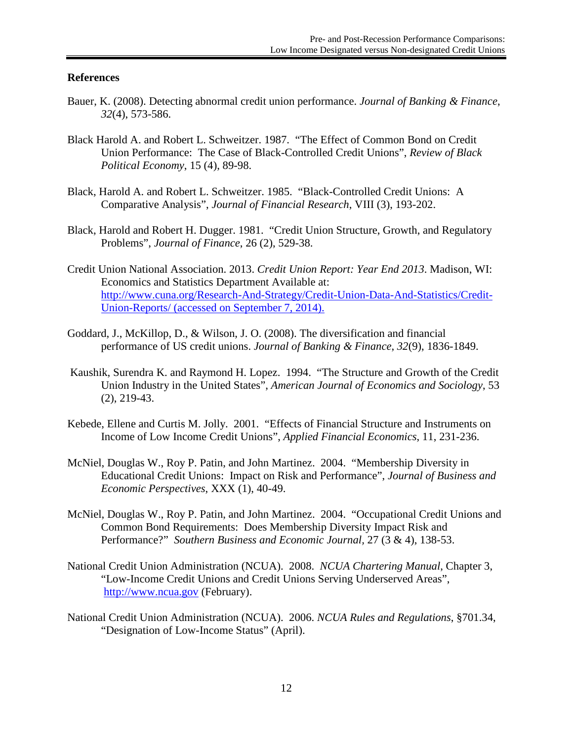# **References**

- Bauer, K. (2008). Detecting abnormal credit union performance. *Journal of Banking & Finance*, *32*(4), 573-586.
- Black Harold A. and Robert L. Schweitzer. 1987. "The Effect of Common Bond on Credit Union Performance: The Case of Black-Controlled Credit Unions", *Review of Black Political Economy*, 15 (4), 89-98.
- Black, Harold A. and Robert L. Schweitzer. 1985. "Black-Controlled Credit Unions: A Comparative Analysis", *Journal of Financial Research*, VIII (3), 193-202.
- Black, Harold and Robert H. Dugger. 1981. "Credit Union Structure, Growth, and Regulatory Problems", *Journal of Finance*, 26 (2), 529-38.
- Credit Union National Association. 2013. *Credit Union Report: Year End 2013*. Madison, WI: Economics and Statistics Department Available at: <http://www.cuna.org/Research-And-Strategy/Credit-Union-Data-And-Statistics/Credit->Union-Reports/ (accessed on September 7, 2014).
- Goddard, J., McKillop, D., & Wilson, J. O. (2008). The diversification and financial performance of US credit unions. *Journal of Banking & Finance*, *32*(9), 1836-1849.
- Kaushik, Surendra K. and Raymond H. Lopez. 1994. "The Structure and Growth of the Credit Union Industry in the United States", *American Journal of Economics and Sociology*, 53 (2), 219-43.
- Kebede, Ellene and Curtis M. Jolly. 2001. "Effects of Financial Structure and Instruments on Income of Low Income Credit Unions", *Applied Financial Economics*, 11, 231-236.
- McNiel, Douglas W., Roy P. Patin, and John Martinez. 2004. "Membership Diversity in Educational Credit Unions: Impact on Risk and Performance", *Journal of Business and Economic Perspectives*, XXX (1), 40-49.
- McNiel, Douglas W., Roy P. Patin, and John Martinez. 2004. "Occupational Credit Unions and Common Bond Requirements: Does Membership Diversity Impact Risk and Performance?" *Southern Business and Economic Journal,* 27 (3 & 4), 138-53.
- National Credit Union Administration (NCUA). 2008. *NCUA Chartering Manual*, Chapter 3, "Low-Income Credit Unions and Credit Unions Serving Underserved Areas", [http://www.ncua.gov](http://www.ncua.gov/) (February).
- National Credit Union Administration (NCUA). 2006. *NCUA Rules and Regulations*, §701.34, "Designation of Low-Income Status" (April).